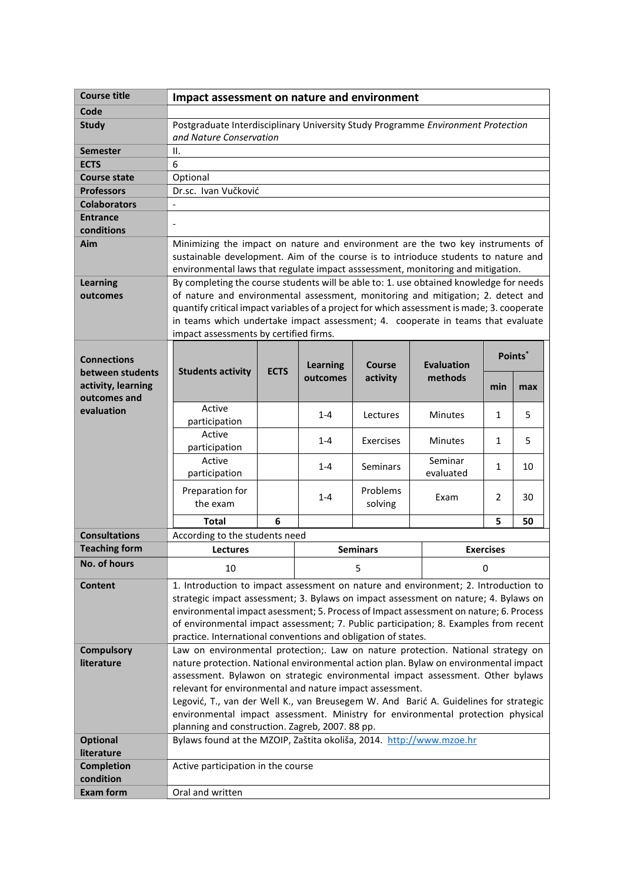| <b>Course title</b>                                                          | Impact assessment on nature and environment                                                                                                                                                                                                                                                                                                                                                                                 |             |                             |                     |                              |                  |     |  |
|------------------------------------------------------------------------------|-----------------------------------------------------------------------------------------------------------------------------------------------------------------------------------------------------------------------------------------------------------------------------------------------------------------------------------------------------------------------------------------------------------------------------|-------------|-----------------------------|---------------------|------------------------------|------------------|-----|--|
| Code                                                                         |                                                                                                                                                                                                                                                                                                                                                                                                                             |             |                             |                     |                              |                  |     |  |
| <b>Study</b>                                                                 | Postgraduate Interdisciplinary University Study Programme Environment Protection<br>and Nature Conservation                                                                                                                                                                                                                                                                                                                 |             |                             |                     |                              |                  |     |  |
| <b>Semester</b>                                                              | II.                                                                                                                                                                                                                                                                                                                                                                                                                         |             |                             |                     |                              |                  |     |  |
| <b>ECTS</b>                                                                  | 6                                                                                                                                                                                                                                                                                                                                                                                                                           |             |                             |                     |                              |                  |     |  |
| <b>Course state</b>                                                          | Optional                                                                                                                                                                                                                                                                                                                                                                                                                    |             |                             |                     |                              |                  |     |  |
| <b>Professors</b>                                                            | Dr.sc. Ivan Vučković                                                                                                                                                                                                                                                                                                                                                                                                        |             |                             |                     |                              |                  |     |  |
| <b>Colaborators</b>                                                          |                                                                                                                                                                                                                                                                                                                                                                                                                             |             |                             |                     |                              |                  |     |  |
| <b>Entrance</b>                                                              |                                                                                                                                                                                                                                                                                                                                                                                                                             |             |                             |                     |                              |                  |     |  |
| conditions                                                                   |                                                                                                                                                                                                                                                                                                                                                                                                                             |             |                             |                     |                              |                  |     |  |
| Aim                                                                          | Minimizing the impact on nature and environment are the two key instruments of<br>sustainable development. Aim of the course is to intrioduce students to nature and<br>environmental laws that regulate impact asssessment, monitoring and mitigation.                                                                                                                                                                     |             |                             |                     |                              |                  |     |  |
| <b>Learning</b>                                                              | By completing the course students will be able to: 1. use obtained knowledge for needs                                                                                                                                                                                                                                                                                                                                      |             |                             |                     |                              |                  |     |  |
| outcomes                                                                     | of nature and environmental assessment, monitoring and mitigation; 2. detect and                                                                                                                                                                                                                                                                                                                                            |             |                             |                     |                              |                  |     |  |
|                                                                              | quantify critical impact variables of a project for which assessment is made; 3. cooperate                                                                                                                                                                                                                                                                                                                                  |             |                             |                     |                              |                  |     |  |
|                                                                              | in teams which undertake impact assessment; 4. cooperate in teams that evaluate                                                                                                                                                                                                                                                                                                                                             |             |                             |                     |                              |                  |     |  |
|                                                                              | impact assessments by certified firms.                                                                                                                                                                                                                                                                                                                                                                                      |             |                             |                     |                              |                  |     |  |
| <b>Connections</b><br>between students<br>activity, learning<br>outcomes and | <b>Students activity</b>                                                                                                                                                                                                                                                                                                                                                                                                    | <b>ECTS</b> | <b>Learning</b><br>outcomes | Course<br>activity  | <b>Evaluation</b><br>methods | Points*          |     |  |
|                                                                              |                                                                                                                                                                                                                                                                                                                                                                                                                             |             |                             |                     |                              | min              | max |  |
| evaluation                                                                   | Active<br>participation                                                                                                                                                                                                                                                                                                                                                                                                     |             | $1 - 4$                     | Lectures            | <b>Minutes</b>               | $\mathbf{1}$     | 5   |  |
|                                                                              | Active<br>participation                                                                                                                                                                                                                                                                                                                                                                                                     |             | $1 - 4$                     | Exercises           | <b>Minutes</b>               | $\mathbf{1}$     | 5   |  |
|                                                                              | Active<br>participation                                                                                                                                                                                                                                                                                                                                                                                                     |             | $1 - 4$                     | <b>Seminars</b>     | Seminar<br>evaluated         | 1                | 10  |  |
|                                                                              | Preparation for<br>the exam                                                                                                                                                                                                                                                                                                                                                                                                 |             | $1 - 4$                     | Problems<br>solving | Exam                         | 2                | 30  |  |
|                                                                              | <b>Total</b>                                                                                                                                                                                                                                                                                                                                                                                                                | 6           |                             |                     |                              | 5                | 50  |  |
| <b>Consultations</b>                                                         |                                                                                                                                                                                                                                                                                                                                                                                                                             |             |                             |                     |                              |                  |     |  |
| <b>Teaching form</b>                                                         | According to the students need<br><b>Lectures</b>                                                                                                                                                                                                                                                                                                                                                                           |             |                             | <b>Seminars</b>     |                              | <b>Exercises</b> |     |  |
| No. of hours                                                                 |                                                                                                                                                                                                                                                                                                                                                                                                                             |             |                             |                     |                              |                  |     |  |
|                                                                              | 10                                                                                                                                                                                                                                                                                                                                                                                                                          |             |                             | 5                   | 0                            |                  |     |  |
| <b>Content</b>                                                               | 1. Introduction to impact assessment on nature and environment; 2. Introduction to<br>strategic impact assessment; 3. Bylaws on impact assessment on nature; 4. Bylaws on<br>environmental impact asessment; 5. Process of Impact assessment on nature; 6. Process<br>of environmental impact assessment; 7. Public participation; 8. Examples from recent<br>practice. International conventions and obligation of states. |             |                             |                     |                              |                  |     |  |
| <b>Compulsory</b>                                                            | Law on environmental protection;. Law on nature protection. National strategy on                                                                                                                                                                                                                                                                                                                                            |             |                             |                     |                              |                  |     |  |
| literature                                                                   | nature protection. National environmental action plan. Bylaw on environmental impact                                                                                                                                                                                                                                                                                                                                        |             |                             |                     |                              |                  |     |  |
|                                                                              | assessment. Bylawon on strategic environmental impact assessment. Other bylaws                                                                                                                                                                                                                                                                                                                                              |             |                             |                     |                              |                  |     |  |
|                                                                              | relevant for environmental and nature impact assessment.                                                                                                                                                                                                                                                                                                                                                                    |             |                             |                     |                              |                  |     |  |
|                                                                              | Legović, T., van der Well K., van Breusegem W. And Barić A. Guidelines for strategic                                                                                                                                                                                                                                                                                                                                        |             |                             |                     |                              |                  |     |  |
|                                                                              | environmental impact assessment. Ministry for environmental protection physical<br>planning and construction. Zagreb, 2007. 88 pp.                                                                                                                                                                                                                                                                                          |             |                             |                     |                              |                  |     |  |
|                                                                              |                                                                                                                                                                                                                                                                                                                                                                                                                             |             |                             |                     |                              |                  |     |  |
| <b>Optional</b>                                                              | Bylaws found at the MZOIP, Zaštita okoliša, 2014. http://www.mzoe.hr                                                                                                                                                                                                                                                                                                                                                        |             |                             |                     |                              |                  |     |  |
| literature                                                                   |                                                                                                                                                                                                                                                                                                                                                                                                                             |             |                             |                     |                              |                  |     |  |
| <b>Completion</b><br>condition                                               | Active participation in the course                                                                                                                                                                                                                                                                                                                                                                                          |             |                             |                     |                              |                  |     |  |
| <b>Exam form</b>                                                             |                                                                                                                                                                                                                                                                                                                                                                                                                             |             |                             |                     |                              |                  |     |  |
|                                                                              | Oral and written                                                                                                                                                                                                                                                                                                                                                                                                            |             |                             |                     |                              |                  |     |  |